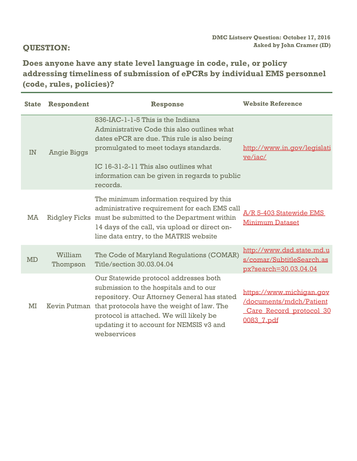**Does anyone have any state level language in code, rule, or policy addressing timeliness of submission of ePCRs by individual EMS personnel (code, rules, policies)?** 

| <b>State</b> | Respondent          | <b>Response</b>                                                                                                                                                                                                                                                                                 | <b>Website Reference</b>                                                                     |
|--------------|---------------------|-------------------------------------------------------------------------------------------------------------------------------------------------------------------------------------------------------------------------------------------------------------------------------------------------|----------------------------------------------------------------------------------------------|
| IN           | <b>Angie Biggs</b>  | 836-IAC-1-1-5 This is the Indiana<br>Administrative Code this also outlines what<br>dates ePCR are due. This rule is also being<br>promulgated to meet todays standards.<br>IC 16-31-2-11 This also outlines what<br>information can be given in regards to public<br>records.                  | http://www.in.gov/legislati<br>ye/iac/                                                       |
| MA           |                     | The minimum information required by this<br>administrative requirement for each EMS call<br>Ridgley Ficks must be submitted to the Department within<br>14 days of the call, via upload or direct on-<br>line data entry, to the MATRIS website                                                 | A/R 5-403 Statewide EMS<br><b>Minimum Dataset</b>                                            |
| <b>MD</b>    | William<br>Thompson | The Code of Maryland Regulations (COMAR)<br>Title/section 30.03.04.04                                                                                                                                                                                                                           | http://www.dsd.state.md.u<br>s/comar/SubtitleSearch.as<br>px?search=30.03.04.04              |
| MI           |                     | Our Statewide protocol addresses both<br>submission to the hospitals and to our<br>repository. Our Attorney General has stated<br>Kevin Putman that protocols have the weight of law. The<br>protocol is attached. We will likely be<br>updating it to account for NEMSIS v3 and<br>webservices | https://www.michigan.gov<br>/documents/mdch/Patient<br>Care Record protocol 30<br>0083 7.pdf |